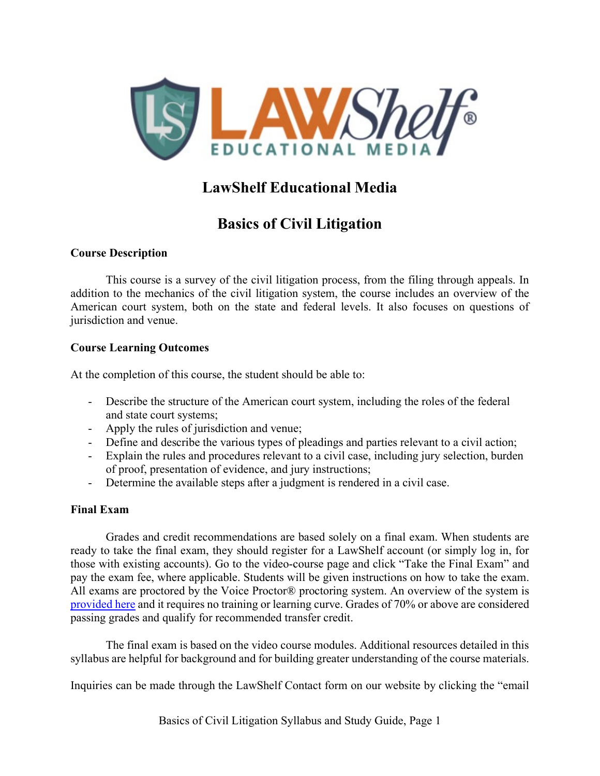

# **LawShelf Educational Media**

# **Basics of Civil Litigation**

## **Course Description**

This course is a survey of the civil litigation process, from the filing through appeals. In addition to the mechanics of the civil litigation system, the course includes an overview of the American court system, both on the state and federal levels. It also focuses on questions of jurisdiction and venue.

## **Course Learning Outcomes**

At the completion of this course, the student should be able to:

- Describe the structure of the American court system, including the roles of the federal and state court systems;
- Apply the rules of jurisdiction and venue;
- Define and describe the various types of pleadings and parties relevant to a civil action;
- Explain the rules and procedures relevant to a civil case, including jury selection, burden of proof, presentation of evidence, and jury instructions;
- Determine the available steps after a judgment is rendered in a civil case.

## **Final Exam**

Grades and credit recommendations are based solely on a final exam. When students are ready to take the final exam, they should register for a LawShelf account (or simply log in, for those with existing accounts). Go to the video-course page and click "Take the Final Exam" and pay the exam fee, where applicable. Students will be given instructions on how to take the exam. All exams are proctored by the Voice Proctor® proctoring system. An overview of the system is [provided here](https://lawshelf.com/voiceproctorvideo) and it requires no training or learning curve. Grades of 70% or above are considered passing grades and qualify for recommended transfer credit.

The final exam is based on the video course modules. Additional resources detailed in this syllabus are helpful for background and for building greater understanding of the course materials.

Inquiries can be made through the LawShelf Contact form on our website by clicking the "email

Basics of Civil Litigation Syllabus and Study Guide, Page 1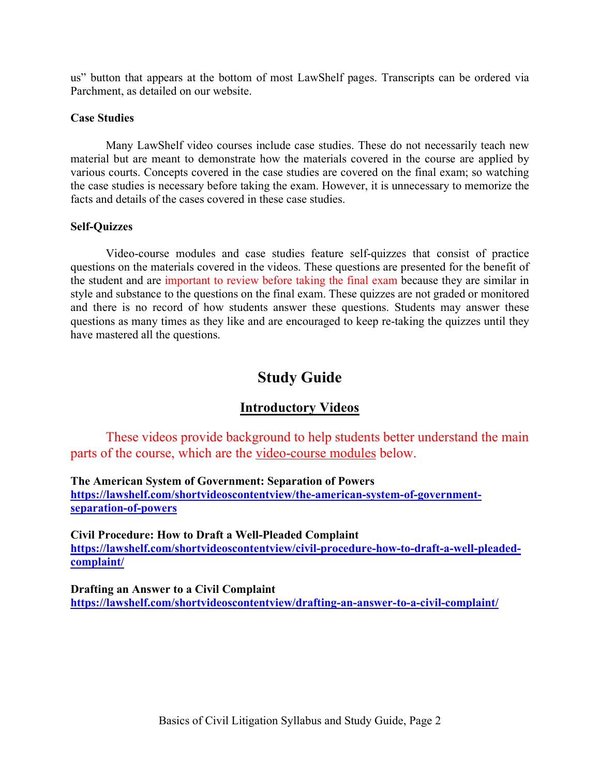us" button that appears at the bottom of most LawShelf pages. Transcripts can be ordered via Parchment, as detailed on our website.

#### **Case Studies**

Many LawShelf video courses include case studies. These do not necessarily teach new material but are meant to demonstrate how the materials covered in the course are applied by various courts. Concepts covered in the case studies are covered on the final exam; so watching the case studies is necessary before taking the exam. However, it is unnecessary to memorize the facts and details of the cases covered in these case studies.

#### **Self-Quizzes**

Video-course modules and case studies feature self-quizzes that consist of practice questions on the materials covered in the videos. These questions are presented for the benefit of the student and are important to review before taking the final exam because they are similar in style and substance to the questions on the final exam. These quizzes are not graded or monitored and there is no record of how students answer these questions. Students may answer these questions as many times as they like and are encouraged to keep re-taking the quizzes until they have mastered all the questions.

# **Study Guide**

## **Introductory Videos**

These videos provide background to help students better understand the main parts of the course, which are the video-course modules below.

**The American System of Government: Separation of Powers [https://lawshelf.com/shortvideoscontentview/the-american-system-of-government](https://lawshelf.com/shortvideoscontentview/the-american-system-of-government-separation-of-powers)[separation-of-powers](https://lawshelf.com/shortvideoscontentview/the-american-system-of-government-separation-of-powers)**

**Civil Procedure: How to Draft a Well-Pleaded Complaint [https://lawshelf.com/shortvideoscontentview/civil-procedure-how-to-draft-a-well-pleaded](https://lawshelf.com/shortvideoscontentview/civil-procedure-how-to-draft-a-well-pleaded-complaint/)[complaint/](https://lawshelf.com/shortvideoscontentview/civil-procedure-how-to-draft-a-well-pleaded-complaint/)**

**Drafting an Answer to a Civil Complaint <https://lawshelf.com/shortvideoscontentview/drafting-an-answer-to-a-civil-complaint/>**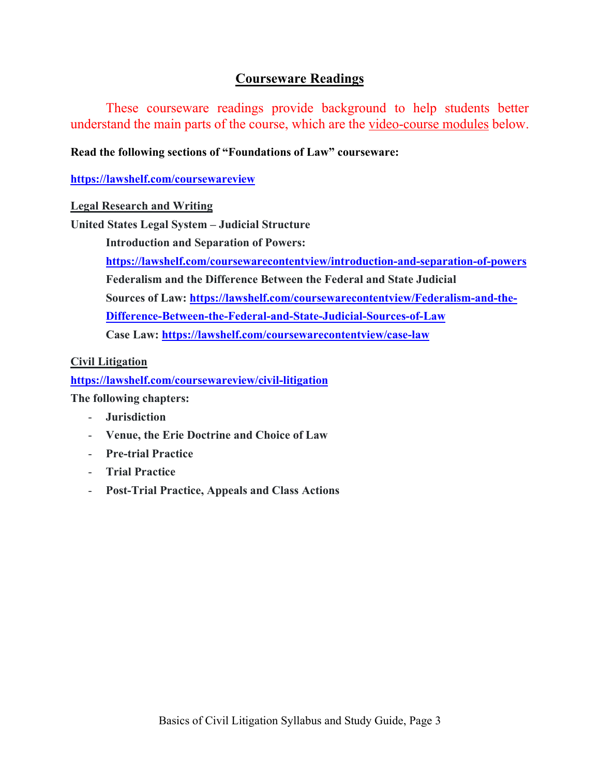# **Courseware Readings**

These courseware readings provide background to help students better understand the main parts of the course, which are the video-course modules below.

## **Read the following sections of "Foundations of Law" courseware:**

**<https://lawshelf.com/coursewareview>**

#### **Legal Research and Writing**

**United States Legal System – Judicial Structure**

**Introduction and Separation of Powers:** 

**<https://lawshelf.com/coursewarecontentview/introduction-and-separation-of-powers> Federalism and the Difference Between the Federal and State Judicial Sources of Law: [https://lawshelf.com/coursewarecontentview/Federalism-and-the-](https://lawshelf.com/coursewarecontentview/Federalism-and-the-Difference-Between-the-Federal-and-State-Judicial-Sources-of-Law)[Difference-Between-the-Federal-and-State-Judicial-Sources-of-Law](https://lawshelf.com/coursewarecontentview/Federalism-and-the-Difference-Between-the-Federal-and-State-Judicial-Sources-of-Law)**

**Case Law:<https://lawshelf.com/coursewarecontentview/case-law>**

## **Civil Litigation**

**<https://lawshelf.com/coursewareview/civil-litigation>**

**The following chapters:**

- **Jurisdiction**
- **Venue, the Erie Doctrine and Choice of Law**
- **Pre-trial Practice**
- **Trial Practice**
- **Post-Trial Practice, Appeals and Class Actions**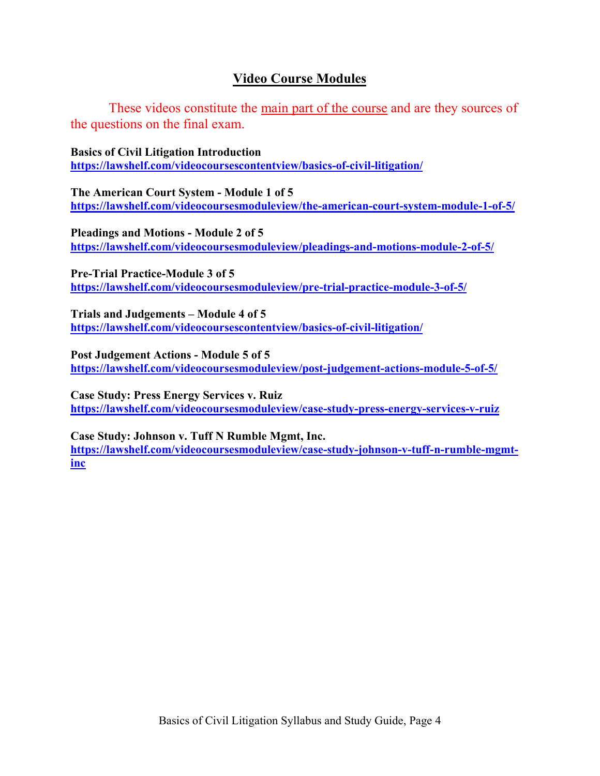# **Video Course Modules**

These videos constitute the main part of the course and are they sources of the questions on the final exam.

**Basics of Civil Litigation Introduction <https://lawshelf.com/videocoursescontentview/basics-of-civil-litigation/>**

**The American Court System - Module 1 of 5 <https://lawshelf.com/videocoursesmoduleview/the-american-court-system-module-1-of-5/>**

**Pleadings and Motions - Module 2 of 5 <https://lawshelf.com/videocoursesmoduleview/pleadings-and-motions-module-2-of-5/>**

**Pre-Trial Practice-Module 3 of 5 <https://lawshelf.com/videocoursesmoduleview/pre-trial-practice-module-3-of-5/>**

**Trials and Judgements – Module 4 of 5 <https://lawshelf.com/videocoursescontentview/basics-of-civil-litigation/>**

**Post Judgement Actions - Module 5 of 5 <https://lawshelf.com/videocoursesmoduleview/post-judgement-actions-module-5-of-5/>**

**Case Study: Press Energy Services v. Ruiz <https://lawshelf.com/videocoursesmoduleview/case-study-press-energy-services-v-ruiz>**

**Case Study: Johnson v. Tuff N Rumble Mgmt, Inc. [https://lawshelf.com/videocoursesmoduleview/case-study-johnson-v-tuff-n-rumble-mgmt](https://lawshelf.com/videocoursesmoduleview/case-study-johnson-v-tuff-n-rumble-mgmt-inc)[inc](https://lawshelf.com/videocoursesmoduleview/case-study-johnson-v-tuff-n-rumble-mgmt-inc)**